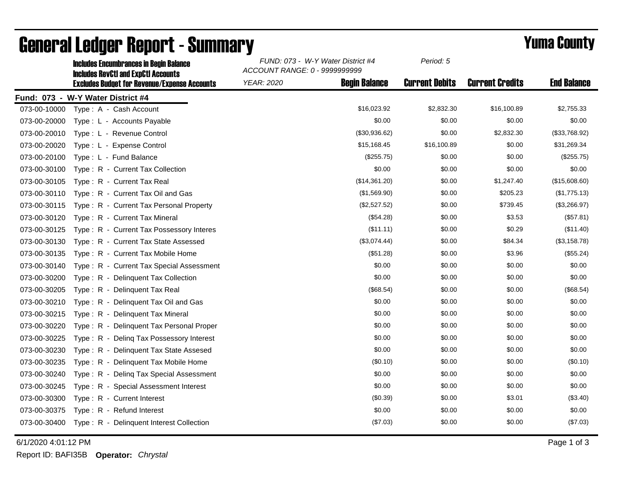|              | <b>Includes Encumbrances in Begin Balance</b><br><b>Includes RevCtI and ExpCtI Accounts</b> | FUND: 073 - W-Y Water District #4<br>ACCOUNT RANGE: 0 - 9999999999 |                      | Period: 5             |                        |                    |
|--------------|---------------------------------------------------------------------------------------------|--------------------------------------------------------------------|----------------------|-----------------------|------------------------|--------------------|
|              | <b>Excludes Budget for Revenue/Expense Accounts</b>                                         | <b>YEAR: 2020</b>                                                  | <b>Begin Balance</b> | <b>Current Debits</b> | <b>Current Credits</b> | <b>End Balance</b> |
|              | Fund: 073 - W-Y Water District #4                                                           |                                                                    |                      |                       |                        |                    |
| 073-00-10000 | Type: A - Cash Account                                                                      |                                                                    | \$16,023.92          | \$2,832.30            | \$16,100.89            | \$2,755.33         |
| 073-00-20000 | Type: L - Accounts Payable                                                                  |                                                                    | \$0.00               | \$0.00                | \$0.00                 | \$0.00             |
| 073-00-20010 | Type: L - Revenue Control                                                                   |                                                                    | (\$30,936.62)        | \$0.00                | \$2,832.30             | (\$33,768.92)      |
| 073-00-20020 | Type: L - Expense Control                                                                   |                                                                    | \$15,168.45          | \$16,100.89           | \$0.00                 | \$31,269.34        |
| 073-00-20100 | Type: L - Fund Balance                                                                      |                                                                    | (\$255.75)           | \$0.00                | \$0.00                 | (\$255.75)         |
| 073-00-30100 | Type: R - Current Tax Collection                                                            |                                                                    | \$0.00               | \$0.00                | \$0.00                 | \$0.00             |
| 073-00-30105 | Type: R - Current Tax Real                                                                  |                                                                    | (\$14,361.20)        | \$0.00                | \$1,247.40             | (\$15,608.60)      |
| 073-00-30110 | Type: R - Current Tax Oil and Gas                                                           |                                                                    | (\$1,569.90)         | \$0.00                | \$205.23               | (\$1,775.13)       |
| 073-00-30115 | Type: R - Current Tax Personal Property                                                     |                                                                    | (\$2,527.52)         | \$0.00                | \$739.45               | (\$3,266.97)       |
| 073-00-30120 | Type: R - Current Tax Mineral                                                               |                                                                    | (\$54.28)            | \$0.00                | \$3.53                 | (\$57.81)          |
| 073-00-30125 | Type: R - Current Tax Possessory Interes                                                    |                                                                    | (\$11.11)            | \$0.00                | \$0.29                 | (\$11.40)          |
| 073-00-30130 | Type: R - Current Tax State Assessed                                                        |                                                                    | (\$3,074.44)         | \$0.00                | \$84.34                | (\$3,158.78)       |
| 073-00-30135 | Type: R - Current Tax Mobile Home                                                           |                                                                    | (\$51.28)            | \$0.00                | \$3.96                 | (\$55.24)          |
| 073-00-30140 | Type: R - Current Tax Special Assessment                                                    |                                                                    | \$0.00               | \$0.00                | \$0.00                 | \$0.00             |
| 073-00-30200 | Type: R - Delinquent Tax Collection                                                         |                                                                    | \$0.00               | \$0.00                | \$0.00                 | \$0.00             |
| 073-00-30205 | Type: R - Delinguent Tax Real                                                               |                                                                    | (\$68.54)            | \$0.00                | \$0.00                 | (\$68.54)          |
| 073-00-30210 | Type: R - Delinquent Tax Oil and Gas                                                        |                                                                    | \$0.00               | \$0.00                | \$0.00                 | \$0.00             |
| 073-00-30215 | Type: R - Delinguent Tax Mineral                                                            |                                                                    | \$0.00               | \$0.00                | \$0.00                 | \$0.00             |
| 073-00-30220 | Type: R - Delinquent Tax Personal Proper                                                    |                                                                    | \$0.00               | \$0.00                | \$0.00                 | \$0.00             |
| 073-00-30225 | Type: R - Deling Tax Possessory Interest                                                    |                                                                    | \$0.00               | \$0.00                | \$0.00                 | \$0.00             |
| 073-00-30230 | Type: R - Delinquent Tax State Assesed                                                      |                                                                    | \$0.00               | \$0.00                | \$0.00                 | \$0.00             |
| 073-00-30235 | Type: R - Delinquent Tax Mobile Home                                                        |                                                                    | (\$0.10)             | \$0.00                | \$0.00                 | (\$0.10)           |
| 073-00-30240 | Type: R - Deling Tax Special Assessment                                                     |                                                                    | \$0.00               | \$0.00                | \$0.00                 | \$0.00             |
| 073-00-30245 | Type: R - Special Assessment Interest                                                       |                                                                    | \$0.00               | \$0.00                | \$0.00                 | \$0.00             |
| 073-00-30300 | Type: R - Current Interest                                                                  |                                                                    | (\$0.39)             | \$0.00                | \$3.01                 | (\$3.40)           |
| 073-00-30375 | Type: R - Refund Interest                                                                   |                                                                    | \$0.00               | \$0.00                | \$0.00                 | \$0.00             |
| 073-00-30400 | Type: R - Delinquent Interest Collection                                                    |                                                                    | (\$7.03)             | \$0.00                | \$0.00                 | (\$7.03)           |

## General Ledger Report - Summary **Example 2018** Yuma County

6/1/2020 4:01:12 PM Page 1 of 3

Report ID: BAFI35B **Operator:** *Chrystal*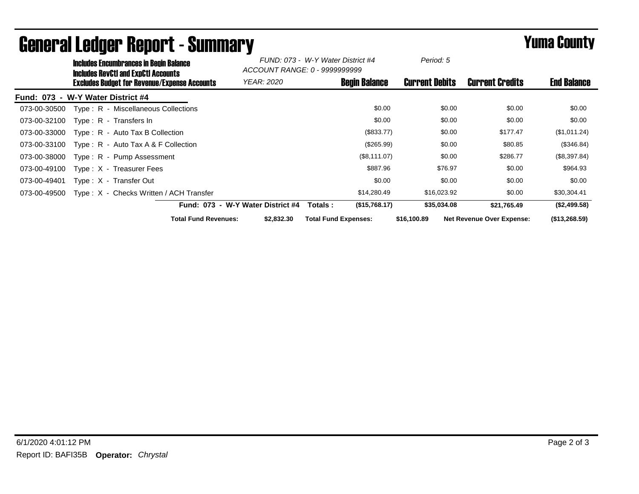|              | <b>Includes Encumbrances in Begin Balance</b><br><b>Includes RevCtI and ExpCtI Accounts</b> |                                              | FUND: 073 - W-Y Water District #4<br>ACCOUNT RANGE: 0 - 99999999999 |                             | Period: 5            |                       |                                  |                    |
|--------------|---------------------------------------------------------------------------------------------|----------------------------------------------|---------------------------------------------------------------------|-----------------------------|----------------------|-----------------------|----------------------------------|--------------------|
|              |                                                                                             | Excludes Budget for Revenue/Expense Accounts | <b>YEAR: 2020</b>                                                   |                             | <b>Begin Balance</b> | <b>Current Debits</b> | <b>Current Credits</b>           | <b>End Balance</b> |
|              | Fund: 073 - W-Y Water District #4                                                           |                                              |                                                                     |                             |                      |                       |                                  |                    |
| 073-00-30500 | Type: R - Miscellaneous Collections                                                         |                                              |                                                                     |                             | \$0.00               | \$0.00                | \$0.00                           | \$0.00             |
| 073-00-32100 | Type: R - Transfers In                                                                      |                                              |                                                                     |                             | \$0.00               | \$0.00                | \$0.00                           | \$0.00             |
| 073-00-33000 | $Type: R - Auto Tax B Collection$                                                           |                                              |                                                                     |                             | (\$833.77)           | \$0.00                | \$177.47                         | (\$1,011.24)       |
| 073-00-33100 | Type: $R -$ Auto Tax A & F Collection                                                       |                                              |                                                                     |                             | (\$265.99)           | \$0.00                | \$80.85                          | (\$346.84)         |
| 073-00-38000 | Type: R - Pump Assessment                                                                   |                                              |                                                                     |                             | (\$8,111.07)         | \$0.00                | \$286.77                         | (\$8,397.84)       |
| 073-00-49100 | Type: X - Treasurer Fees                                                                    |                                              |                                                                     |                             | \$887.96             | \$76.97               | \$0.00                           | \$964.93           |
| 073-00-49401 | Type: X - Transfer Out                                                                      |                                              |                                                                     |                             | \$0.00               | \$0.00                | \$0.00                           | \$0.00             |
| 073-00-49500 |                                                                                             | Type: X - Checks Written / ACH Transfer      |                                                                     |                             | \$14,280.49          | \$16,023.92           | \$0.00                           | \$30,304.41        |
|              |                                                                                             |                                              | Fund: 073 - W-Y Water District #4                                   | Totals :                    | (\$15,768.17)        | \$35,034.08           | \$21,765.49                      | (\$2,499.58)       |
|              |                                                                                             | <b>Total Fund Revenues:</b>                  | \$2,832.30                                                          | <b>Total Fund Expenses:</b> |                      | \$16,100.89           | <b>Net Revenue Over Expense:</b> | (\$13,268.59)      |

## General Ledger Report - Summary **Example 2018** Yuma County